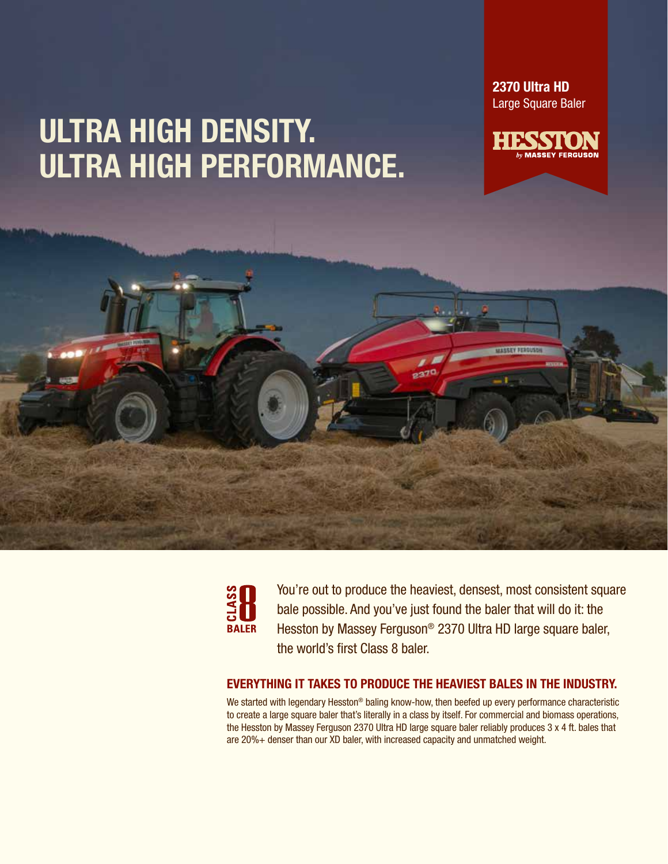2370 Ultra HD Large Square Baler









You're out to produce the heaviest, densest, most consistent square bale possible. And you've just found the baler that will do it: the Hesston by Massey Ferguson® 2370 Ultra HD large square baler, the world's first Class 8 baler.

### EVERYTHING IT TAKES TO PRODUCE THE HEAVIEST BALES IN THE INDUSTRY.

We started with legendary Hesston® baling know-how, then beefed up every performance characteristic to create a large square baler that's literally in a class by itself. For commercial and biomass operations, the Hesston by Massey Ferguson 2370 Ultra HD large square baler reliably produces 3 x 4 ft. bales that are 20%+ denser than our XD baler, with increased capacity and unmatched weight.